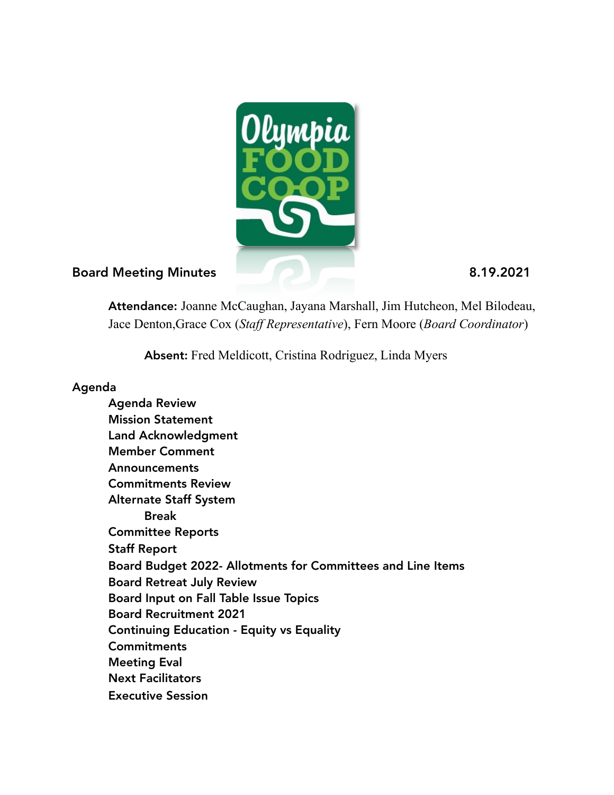

### Board Meeting Minutes 8.19.2021

Attendance: Joanne McCaughan, Jayana Marshall, Jim Hutcheon, Mel Bilodeau, Jace Denton,Grace Cox (*Staff Representative*), Fern Moore (*Board Coordinator*)

Absent: Fred Meldicott, Cristina Rodriguez, Linda Myers

#### Agenda

 Agenda Review Mission Statement Land Acknowledgment Member Comment Announcements Commitments Review Alternate Staff System Break Committee Reports Staff Report Board Budget 2022- Allotments for Committees and Line Items Board Retreat July Review Board Input on Fall Table Issue Topics Board Recruitment 2021 Continuing Education - Equity vs Equality **Commitments**  Meeting Eval Next Facilitators Executive Session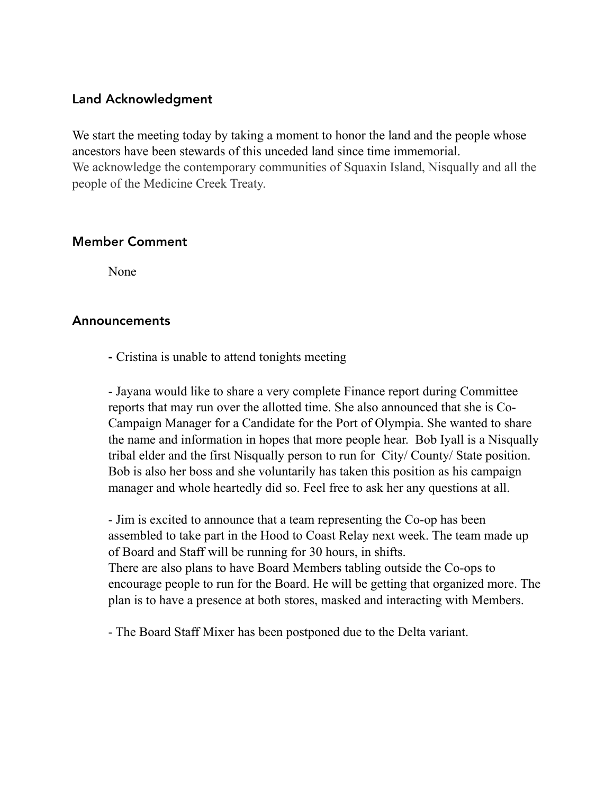### Land Acknowledgment

We start the meeting today by taking a moment to honor the land and the people whose ancestors have been stewards of this unceded land since time immemorial. We acknowledge the contemporary communities of Squaxin Island, Nisqually and all the people of the Medicine Creek Treaty.

#### Member Comment

None

### Announcements

- Cristina is unable to attend tonights meeting

 - Jayana would like to share a very complete Finance report during Committee reports that may run over the allotted time. She also announced that she is Co- Campaign Manager for a Candidate for the Port of Olympia. She wanted to share the name and information in hopes that more people hear. Bob Iyall is a Nisqually tribal elder and the first Nisqually person to run for City/ County/ State position. Bob is also her boss and she voluntarily has taken this position as his campaign manager and whole heartedly did so. Feel free to ask her any questions at all.

 - Jim is excited to announce that a team representing the Co-op has been assembled to take part in the Hood to Coast Relay next week. The team made up of Board and Staff will be running for 30 hours, in shifts. There are also plans to have Board Members tabling outside the Co-ops to encourage people to run for the Board. He will be getting that organized more. The plan is to have a presence at both stores, masked and interacting with Members.

- The Board Staff Mixer has been postponed due to the Delta variant.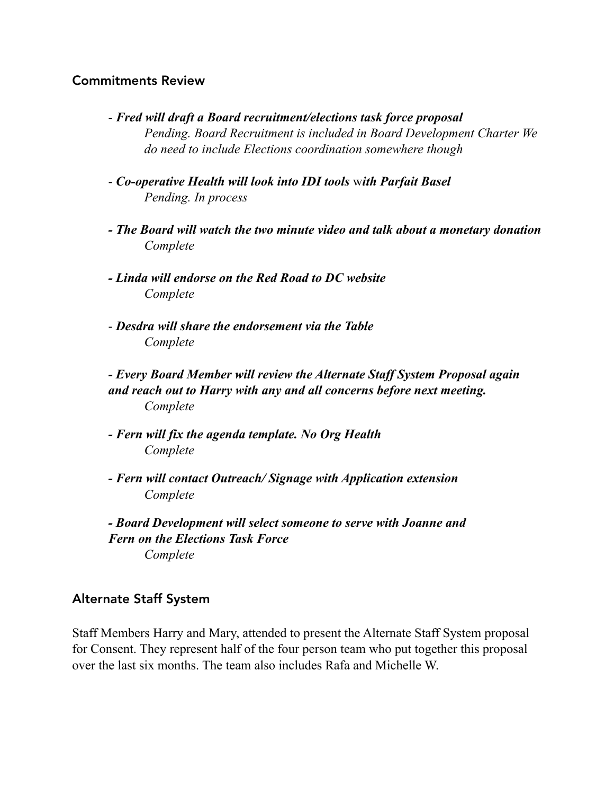#### Commitments Review

- *Fred will draft a Board recruitment/elections task force proposal Pending. Board Recruitment is included in Board Development Charter We do need to include Elections coordination somewhere though*
- *Co-operative Health will look into IDI tools* w*ith Parfait Basel Pending. In process*
- *The Board will watch the two minute video and talk about a monetary donation Complete*
- *Linda will endorse on the Red Road to DC website Complete*
- *Desdra will share the endorsement via the Table Complete*

 *- Every Board Member will review the Alternate Staff System Proposal again and reach out to Harry with any and all concerns before next meeting. Complete* 

- *Fern will fix the agenda template. No Org Health Complete*
- *Fern will contact Outreach/ Signage with Application extension Complete*
- *Board Development will select someone to serve with Joanne and Fern on the Elections Task Force Complete*

### Alternate Staff System

Staff Members Harry and Mary, attended to present the Alternate Staff System proposal for Consent. They represent half of the four person team who put together this proposal over the last six months. The team also includes Rafa and Michelle W.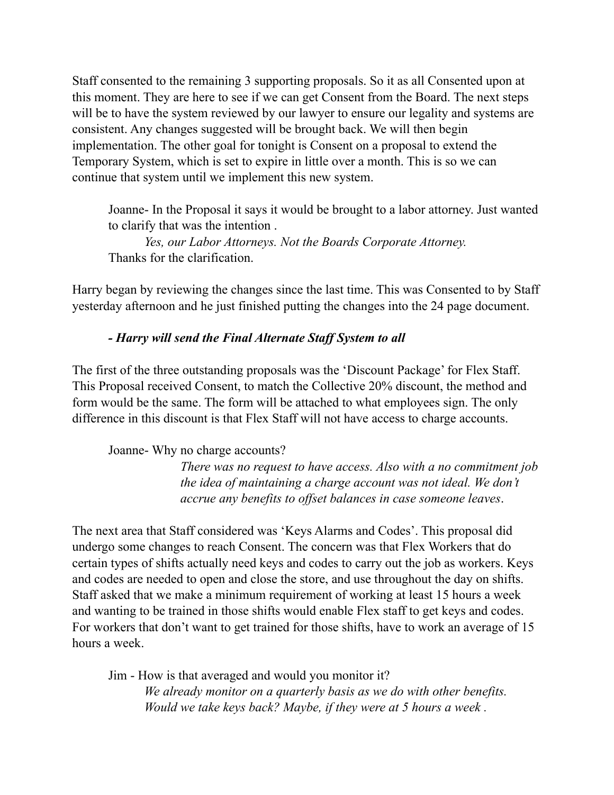Staff consented to the remaining 3 supporting proposals. So it as all Consented upon at this moment. They are here to see if we can get Consent from the Board. The next steps will be to have the system reviewed by our lawyer to ensure our legality and systems are consistent. Any changes suggested will be brought back. We will then begin implementation. The other goal for tonight is Consent on a proposal to extend the Temporary System, which is set to expire in little over a month. This is so we can continue that system until we implement this new system.

 Joanne- In the Proposal it says it would be brought to a labor attorney. Just wanted to clarify that was the intention .

 *Yes, our Labor Attorneys. Not the Boards Corporate Attorney.*  Thanks for the clarification.

Harry began by reviewing the changes since the last time. This was Consented to by Staff yesterday afternoon and he just finished putting the changes into the 24 page document.

### *- Harry will send the Final Alternate Staff System to all*

The first of the three outstanding proposals was the 'Discount Package' for Flex Staff. This Proposal received Consent, to match the Collective 20% discount, the method and form would be the same. The form will be attached to what employees sign. The only difference in this discount is that Flex Staff will not have access to charge accounts.

Joanne- Why no charge accounts?

 *There was no request to have access. Also with a no commitment job the idea of maintaining a charge account was not ideal. We don't accrue any benefits to offset balances in case someone leaves*.

The next area that Staff considered was 'Keys Alarms and Codes'. This proposal did undergo some changes to reach Consent. The concern was that Flex Workers that do certain types of shifts actually need keys and codes to carry out the job as workers. Keys and codes are needed to open and close the store, and use throughout the day on shifts. Staff asked that we make a minimum requirement of working at least 15 hours a week and wanting to be trained in those shifts would enable Flex staff to get keys and codes. For workers that don't want to get trained for those shifts, have to work an average of 15 hours a week.

 Jim - How is that averaged and would you monitor it? *We already monitor on a quarterly basis as we do with other benefits. Would we take keys back? Maybe, if they were at 5 hours a week .*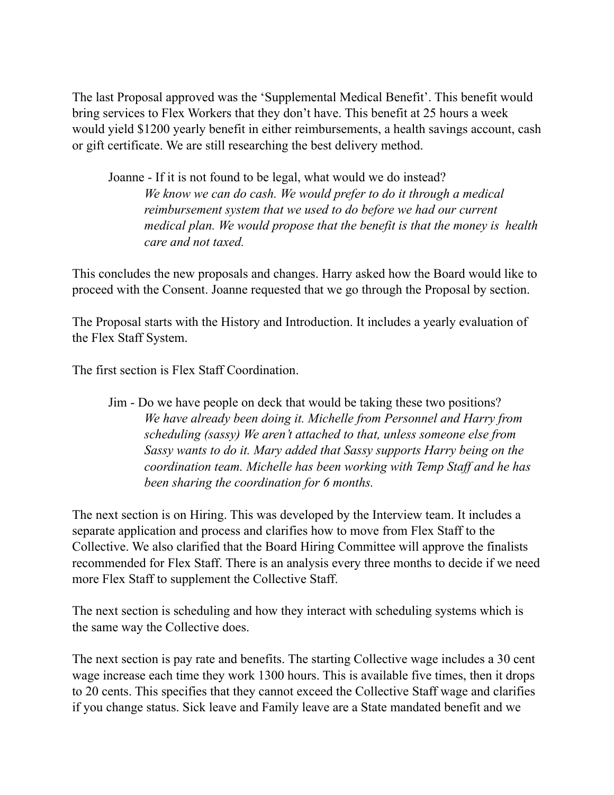The last Proposal approved was the 'Supplemental Medical Benefit'. This benefit would bring services to Flex Workers that they don't have. This benefit at 25 hours a week would yield \$1200 yearly benefit in either reimbursements, a health savings account, cash or gift certificate. We are still researching the best delivery method.

 Joanne - If it is not found to be legal, what would we do instead? *We know we can do cash. We would prefer to do it through a medical reimbursement system that we used to do before we had our current medical plan. We would propose that the benefit is that the money is health care and not taxed.* 

This concludes the new proposals and changes. Harry asked how the Board would like to proceed with the Consent. Joanne requested that we go through the Proposal by section.

The Proposal starts with the History and Introduction. It includes a yearly evaluation of the Flex Staff System.

The first section is Flex Staff Coordination.

 Jim - Do we have people on deck that would be taking these two positions? *We have already been doing it. Michelle from Personnel and Harry from scheduling (sassy) We aren't attached to that, unless someone else from Sassy wants to do it. Mary added that Sassy supports Harry being on the coordination team. Michelle has been working with Temp Staff and he has been sharing the coordination for 6 months.* 

The next section is on Hiring. This was developed by the Interview team. It includes a separate application and process and clarifies how to move from Flex Staff to the Collective. We also clarified that the Board Hiring Committee will approve the finalists recommended for Flex Staff. There is an analysis every three months to decide if we need more Flex Staff to supplement the Collective Staff.

The next section is scheduling and how they interact with scheduling systems which is the same way the Collective does.

The next section is pay rate and benefits. The starting Collective wage includes a 30 cent wage increase each time they work 1300 hours. This is available five times, then it drops to 20 cents. This specifies that they cannot exceed the Collective Staff wage and clarifies if you change status. Sick leave and Family leave are a State mandated benefit and we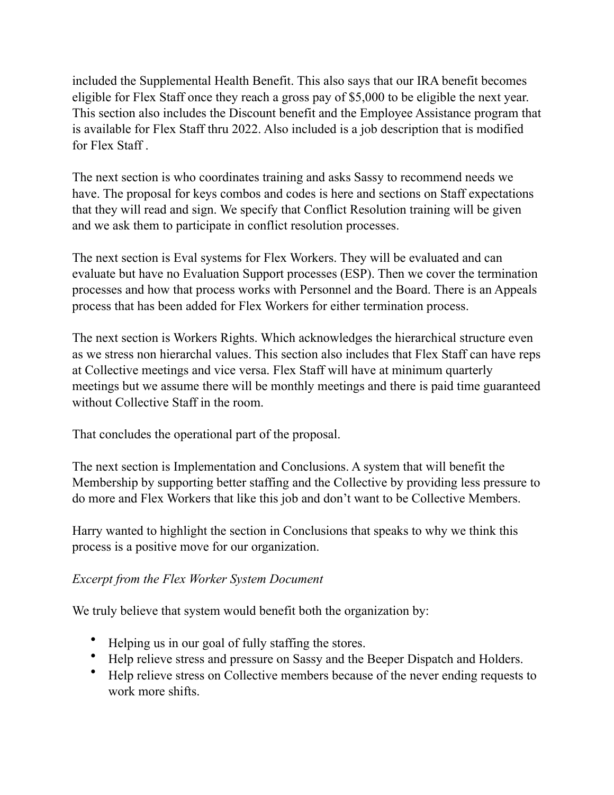included the Supplemental Health Benefit. This also says that our IRA benefit becomes eligible for Flex Staff once they reach a gross pay of \$5,000 to be eligible the next year. This section also includes the Discount benefit and the Employee Assistance program that is available for Flex Staff thru 2022. Also included is a job description that is modified for Flex Staff .

The next section is who coordinates training and asks Sassy to recommend needs we have. The proposal for keys combos and codes is here and sections on Staff expectations that they will read and sign. We specify that Conflict Resolution training will be given and we ask them to participate in conflict resolution processes.

The next section is Eval systems for Flex Workers. They will be evaluated and can evaluate but have no Evaluation Support processes (ESP). Then we cover the termination processes and how that process works with Personnel and the Board. There is an Appeals process that has been added for Flex Workers for either termination process.

The next section is Workers Rights. Which acknowledges the hierarchical structure even as we stress non hierarchal values. This section also includes that Flex Staff can have reps at Collective meetings and vice versa. Flex Staff will have at minimum quarterly meetings but we assume there will be monthly meetings and there is paid time guaranteed without Collective Staff in the room.

That concludes the operational part of the proposal.

The next section is Implementation and Conclusions. A system that will benefit the Membership by supporting better staffing and the Collective by providing less pressure to do more and Flex Workers that like this job and don't want to be Collective Members.

Harry wanted to highlight the section in Conclusions that speaks to why we think this process is a positive move for our organization.

### *Excerpt from the Flex Worker System Document*

We truly believe that system would benefit both the organization by:

- Helping us in our goal of fully staffing the stores.
- Help relieve stress and pressure on Sassy and the Beeper Dispatch and Holders.
- Help relieve stress on Collective members because of the never ending requests to work more shifts.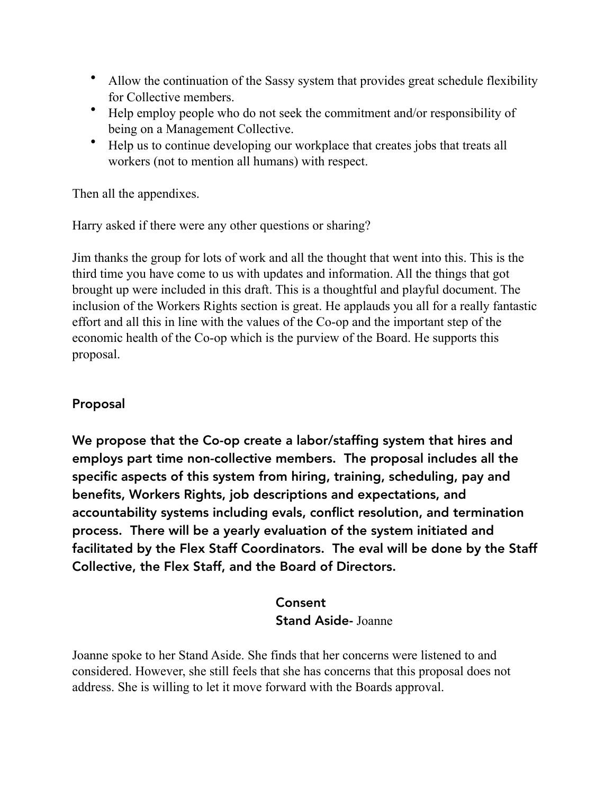- Allow the continuation of the Sassy system that provides great schedule flexibility for Collective members.
- Help employ people who do not seek the commitment and/or responsibility of being on a Management Collective.
- Help us to continue developing our workplace that creates jobs that treats all workers (not to mention all humans) with respect.

Then all the appendixes.

Harry asked if there were any other questions or sharing?

Jim thanks the group for lots of work and all the thought that went into this. This is the third time you have come to us with updates and information. All the things that got brought up were included in this draft. This is a thoughtful and playful document. The inclusion of the Workers Rights section is great. He applauds you all for a really fantastic effort and all this in line with the values of the Co-op and the important step of the economic health of the Co-op which is the purview of the Board. He supports this proposal.

## Proposal

We propose that the Co-op create a labor/staffing system that hires and employs part time non-collective members. The proposal includes all the specific aspects of this system from hiring, training, scheduling, pay and benefits, Workers Rights, job descriptions and expectations, and accountability systems including evals, conflict resolution, and termination process. There will be a yearly evaluation of the system initiated and facilitated by the Flex Staff Coordinators. The eval will be done by the Staff Collective, the Flex Staff, and the Board of Directors.

# Consent Stand Aside- Joanne

Joanne spoke to her Stand Aside. She finds that her concerns were listened to and considered. However, she still feels that she has concerns that this proposal does not address. She is willing to let it move forward with the Boards approval.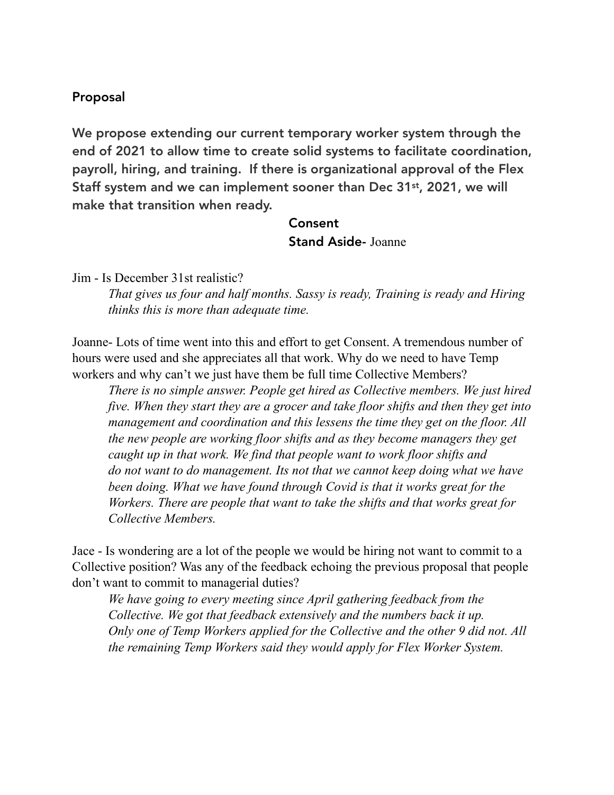#### Proposal

We propose extending our current temporary worker system through the end of 2021 to allow time to create solid systems to facilitate coordination, payroll, hiring, and training. If there is organizational approval of the Flex Staff system and we can implement sooner than Dec 31st, 2021, we will make that transition when ready.

> Consent Stand Aside- Joanne

Jim - Is December 31st realistic?

*That gives us four and half months. Sassy is ready, Training is ready and Hiring thinks this is more than adequate time.* 

Joanne- Lots of time went into this and effort to get Consent. A tremendous number of hours were used and she appreciates all that work. Why do we need to have Temp workers and why can't we just have them be full time Collective Members?

*There is no simple answer. People get hired as Collective members. We just hired five. When they start they are a grocer and take floor shifts and then they get into management and coordination and this lessens the time they get on the floor. All the new people are working floor shifts and as they become managers they get caught up in that work. We find that people want to work floor shifts and do not want to do management. Its not that we cannot keep doing what we have been doing. What we have found through Covid is that it works great for the Workers. There are people that want to take the shifts and that works great for Collective Members.* 

Jace - Is wondering are a lot of the people we would be hiring not want to commit to a Collective position? Was any of the feedback echoing the previous proposal that people don't want to commit to managerial duties?

*We have going to every meeting since April gathering feedback from the Collective. We got that feedback extensively and the numbers back it up. Only one of Temp Workers applied for the Collective and the other 9 did not. All the remaining Temp Workers said they would apply for Flex Worker System.*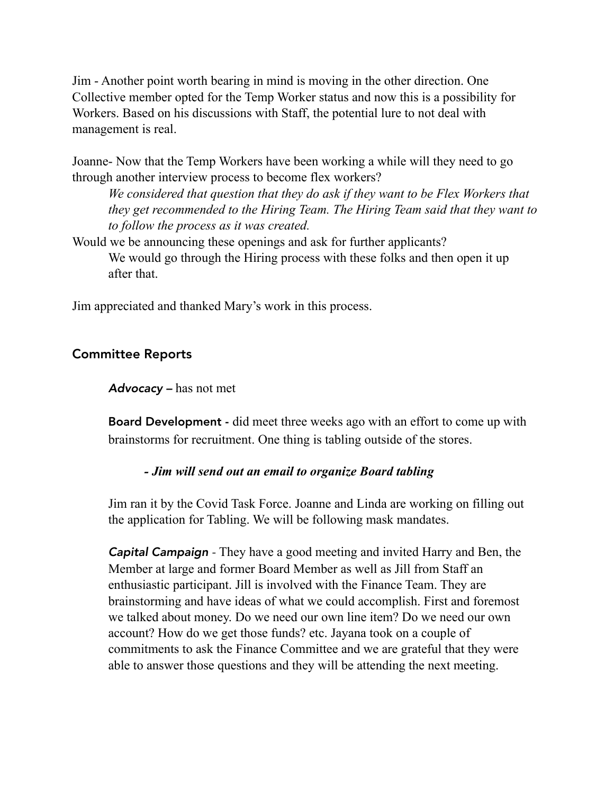Jim - Another point worth bearing in mind is moving in the other direction. One Collective member opted for the Temp Worker status and now this is a possibility for Workers. Based on his discussions with Staff, the potential lure to not deal with management is real.

Joanne- Now that the Temp Workers have been working a while will they need to go through another interview process to become flex workers?

*We considered that question that they do ask if they want to be Flex Workers that they get recommended to the Hiring Team. The Hiring Team said that they want to to follow the process as it was created.* 

Would we be announcing these openings and ask for further applicants? We would go through the Hiring process with these folks and then open it up after that.

Jim appreciated and thanked Mary's work in this process.

### Committee Reports

*Advocacy –* has not met

Board Development - did meet three weeks ago with an effort to come up with brainstorms for recruitment. One thing is tabling outside of the stores.

#### *- Jim will send out an email to organize Board tabling*

Jim ran it by the Covid Task Force. Joanne and Linda are working on filling out the application for Tabling. We will be following mask mandates.

 *Capital Campaign -* They have a good meeting and invited Harry and Ben, the Member at large and former Board Member as well as Jill from Staff an enthusiastic participant. Jill is involved with the Finance Team. They are brainstorming and have ideas of what we could accomplish. First and foremost we talked about money. Do we need our own line item? Do we need our own account? How do we get those funds? etc. Jayana took on a couple of commitments to ask the Finance Committee and we are grateful that they were able to answer those questions and they will be attending the next meeting.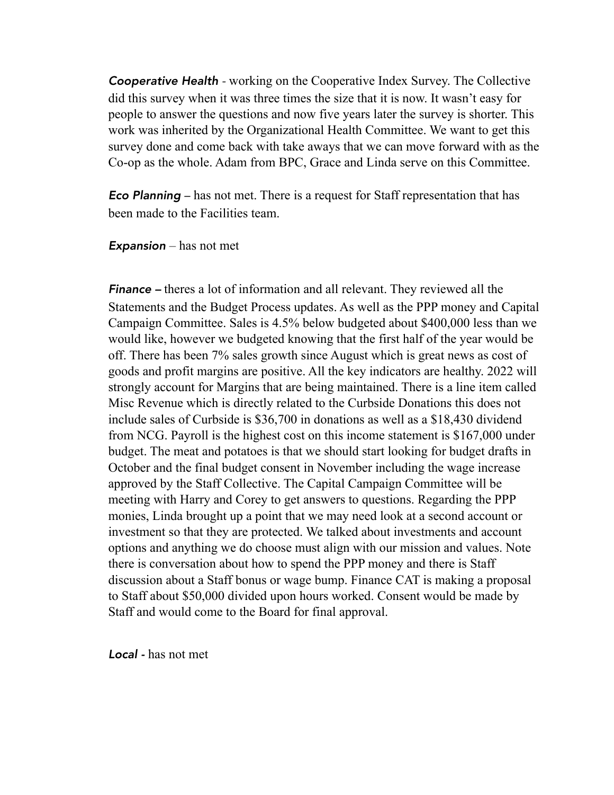**Cooperative Health** - working on the Cooperative Index Survey. The Collective did this survey when it was three times the size that it is now. It wasn't easy for people to answer the questions and now five years later the survey is shorter. This work was inherited by the Organizational Health Committee. We want to get this survey done and come back with take aways that we can move forward with as the Co-op as the whole. Adam from BPC, Grace and Linda serve on this Committee.

*Eco Planning –* has not met. There is a request for Staff representation that has been made to the Facilities team.

*Expansion* – has not met

*Finance –* theres a lot of information and all relevant. They reviewed all the Statements and the Budget Process updates. As well as the PPP money and Capital Campaign Committee. Sales is 4.5% below budgeted about \$400,000 less than we would like, however we budgeted knowing that the first half of the year would be off. There has been 7% sales growth since August which is great news as cost of goods and profit margins are positive. All the key indicators are healthy. 2022 will strongly account for Margins that are being maintained. There is a line item called Misc Revenue which is directly related to the Curbside Donations this does not include sales of Curbside is \$36,700 in donations as well as a \$18,430 dividend from NCG. Payroll is the highest cost on this income statement is \$167,000 under budget. The meat and potatoes is that we should start looking for budget drafts in October and the final budget consent in November including the wage increase approved by the Staff Collective. The Capital Campaign Committee will be meeting with Harry and Corey to get answers to questions. Regarding the PPP monies, Linda brought up a point that we may need look at a second account or investment so that they are protected. We talked about investments and account options and anything we do choose must align with our mission and values. Note there is conversation about how to spend the PPP money and there is Staff discussion about a Staff bonus or wage bump. Finance CAT is making a proposal to Staff about \$50,000 divided upon hours worked. Consent would be made by Staff and would come to the Board for final approval.

*Local -* has not met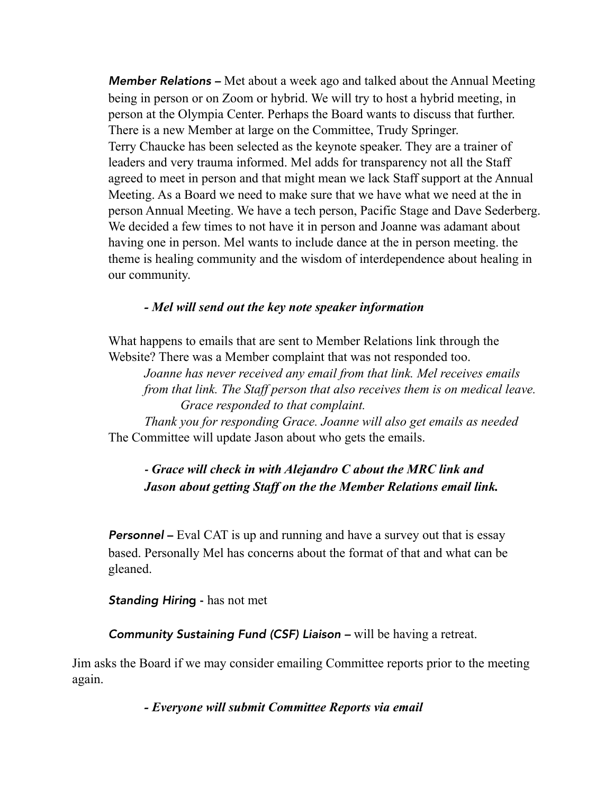*Member Relations –* Met about a week ago and talked about the Annual Meeting being in person or on Zoom or hybrid. We will try to host a hybrid meeting, in person at the Olympia Center. Perhaps the Board wants to discuss that further. There is a new Member at large on the Committee, Trudy Springer. Terry Chaucke has been selected as the keynote speaker. They are a trainer of leaders and very trauma informed. Mel adds for transparency not all the Staff agreed to meet in person and that might mean we lack Staff support at the Annual Meeting. As a Board we need to make sure that we have what we need at the in person Annual Meeting. We have a tech person, Pacific Stage and Dave Sederberg. We decided a few times to not have it in person and Joanne was adamant about having one in person. Mel wants to include dance at the in person meeting. the theme is healing community and the wisdom of interdependence about healing in our community.

#### *- Mel will send out the key note speaker information*

What happens to emails that are sent to Member Relations link through the Website? There was a Member complaint that was not responded too.

*Joanne has never received any email from that link. Mel receives emails from that link. The Staff person that also receives them is on medical leave. Grace responded to that complaint.* 

 *Thank you for responding Grace. Joanne will also get emails as needed*  The Committee will update Jason about who gets the emails.

### *- Grace will check in with Alejandro C about the MRC link and Jason about getting Staff on the the Member Relations email link.*

**Personnel** – Eval CAT is up and running and have a survey out that is essay based. Personally Mel has concerns about the format of that and what can be gleaned.

*Standing Hirin*g - has not met

*Community Sustaining Fund (CSF) Liaison –* will be having a retreat.

Jim asks the Board if we may consider emailing Committee reports prior to the meeting again.

 *- Everyone will submit Committee Reports via email*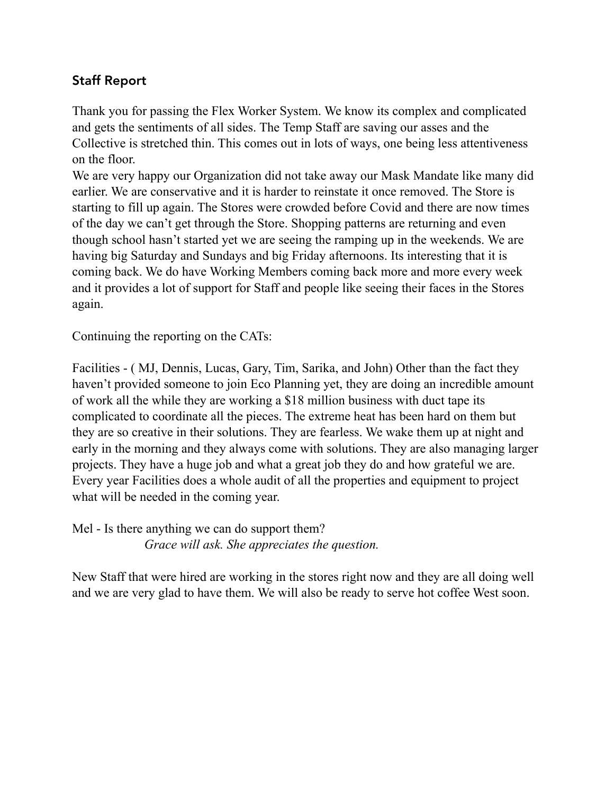## Staff Report

Thank you for passing the Flex Worker System. We know its complex and complicated and gets the sentiments of all sides. The Temp Staff are saving our asses and the Collective is stretched thin. This comes out in lots of ways, one being less attentiveness on the floor.

We are very happy our Organization did not take away our Mask Mandate like many did earlier. We are conservative and it is harder to reinstate it once removed. The Store is starting to fill up again. The Stores were crowded before Covid and there are now times of the day we can't get through the Store. Shopping patterns are returning and even though school hasn't started yet we are seeing the ramping up in the weekends. We are having big Saturday and Sundays and big Friday afternoons. Its interesting that it is coming back. We do have Working Members coming back more and more every week and it provides a lot of support for Staff and people like seeing their faces in the Stores again.

Continuing the reporting on the CATs:

Facilities - ( MJ, Dennis, Lucas, Gary, Tim, Sarika, and John) Other than the fact they haven't provided someone to join Eco Planning yet, they are doing an incredible amount of work all the while they are working a \$18 million business with duct tape its complicated to coordinate all the pieces. The extreme heat has been hard on them but they are so creative in their solutions. They are fearless. We wake them up at night and early in the morning and they always come with solutions. They are also managing larger projects. They have a huge job and what a great job they do and how grateful we are. Every year Facilities does a whole audit of all the properties and equipment to project what will be needed in the coming year.

Mel - Is there anything we can do support them? *Grace will ask. She appreciates the question.* 

New Staff that were hired are working in the stores right now and they are all doing well and we are very glad to have them. We will also be ready to serve hot coffee West soon.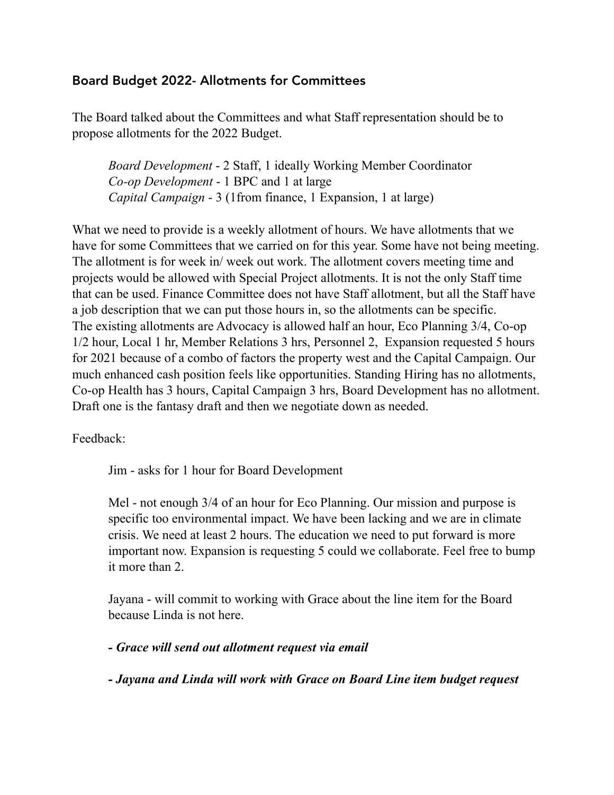### Board Budget 2022- Allotments for Committees

The Board talked about the Committees and what Staff representation should be to propose allotments for the 2022 Budget.

*Board Development* - 2 Staff, 1 ideally Working Member Coordinator *Co-op Development* - 1 BPC and 1 at large *Capital Campaign* - 3 (1from finance, 1 Expansion, 1 at large)

What we need to provide is a weekly allotment of hours. We have allotments that we have for some Committees that we carried on for this year. Some have not being meeting. The allotment is for week in/ week out work. The allotment covers meeting time and projects would be allowed with Special Project allotments. It is not the only Staff time that can be used. Finance Committee does not have Staff allotment, but all the Staff have a job description that we can put those hours in, so the allotments can be specific. The existing allotments are Advocacy is allowed half an hour, Eco Planning 3/4, Co-op 1/2 hour, Local 1 hr, Member Relations 3 hrs, Personnel 2, Expansion requested 5 hours for 2021 because of a combo of factors the property west and the Capital Campaign. Our much enhanced cash position feels like opportunities. Standing Hiring has no allotments, Co-op Health has 3 hours, Capital Campaign 3 hrs, Board Development has no allotment. Draft one is the fantasy draft and then we negotiate down as needed.

Feedback:

Jim - asks for 1 hour for Board Development

 Mel - not enough 3/4 of an hour for Eco Planning. Our mission and purpose is specific too environmental impact. We have been lacking and we are in climate crisis. We need at least 2 hours. The education we need to put forward is more important now. Expansion is requesting 5 could we collaborate. Feel free to bump it more than 2.

 Jayana - will commit to working with Grace about the line item for the Board because Linda is not here.

 *- Grace will send out allotment request via email* 

 *- Jayana and Linda will work with Grace on Board Line item budget request*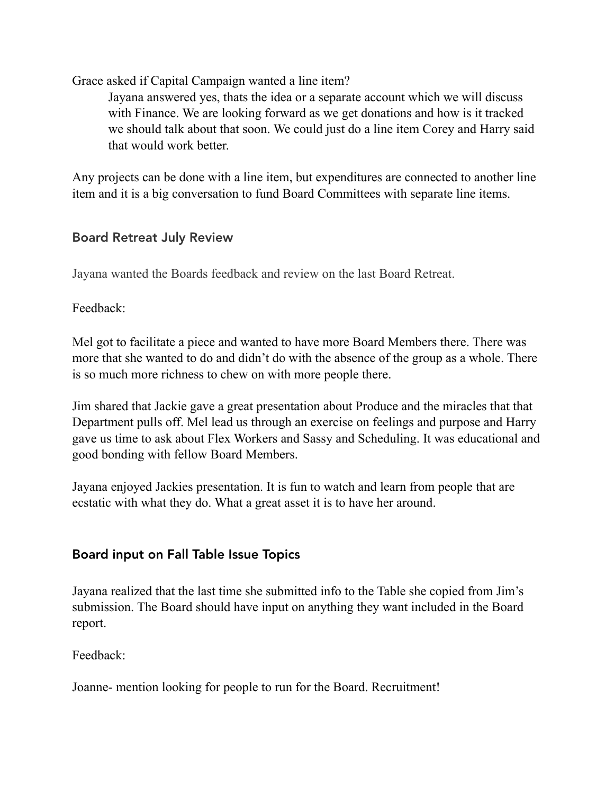Grace asked if Capital Campaign wanted a line item?

 Jayana answered yes, thats the idea or a separate account which we will discuss with Finance. We are looking forward as we get donations and how is it tracked we should talk about that soon. We could just do a line item Corey and Harry said that would work better.

Any projects can be done with a line item, but expenditures are connected to another line item and it is a big conversation to fund Board Committees with separate line items.

### Board Retreat July Review

Jayana wanted the Boards feedback and review on the last Board Retreat.

Feedback:

Mel got to facilitate a piece and wanted to have more Board Members there. There was more that she wanted to do and didn't do with the absence of the group as a whole. There is so much more richness to chew on with more people there.

Jim shared that Jackie gave a great presentation about Produce and the miracles that that Department pulls off. Mel lead us through an exercise on feelings and purpose and Harry gave us time to ask about Flex Workers and Sassy and Scheduling. It was educational and good bonding with fellow Board Members.

Jayana enjoyed Jackies presentation. It is fun to watch and learn from people that are ecstatic with what they do. What a great asset it is to have her around.

## Board input on Fall Table Issue Topics

Jayana realized that the last time she submitted info to the Table she copied from Jim's submission. The Board should have input on anything they want included in the Board report.

Feedback:

Joanne- mention looking for people to run for the Board. Recruitment!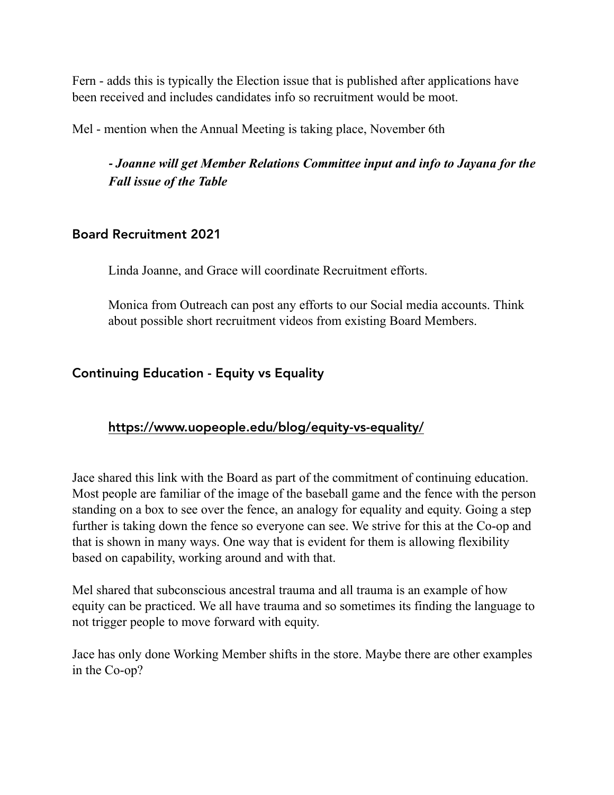Fern - adds this is typically the Election issue that is published after applications have been received and includes candidates info so recruitment would be moot.

Mel - mention when the Annual Meeting is taking place, November 6th

*- Joanne will get Member Relations Committee input and info to Jayana for the Fall issue of the Table* 

### Board Recruitment 2021

Linda Joanne, and Grace will coordinate Recruitment efforts.

 Monica from Outreach can post any efforts to our Social media accounts. Think about possible short recruitment videos from existing Board Members.

## Continuing Education - Equity vs Equality

## <https://www.uopeople.edu/blog/equity-vs-equality/>

Jace shared this link with the Board as part of the commitment of continuing education. Most people are familiar of the image of the baseball game and the fence with the person standing on a box to see over the fence, an analogy for equality and equity. Going a step further is taking down the fence so everyone can see. We strive for this at the Co-op and that is shown in many ways. One way that is evident for them is allowing flexibility based on capability, working around and with that.

Mel shared that subconscious ancestral trauma and all trauma is an example of how equity can be practiced. We all have trauma and so sometimes its finding the language to not trigger people to move forward with equity.

Jace has only done Working Member shifts in the store. Maybe there are other examples in the Co-op?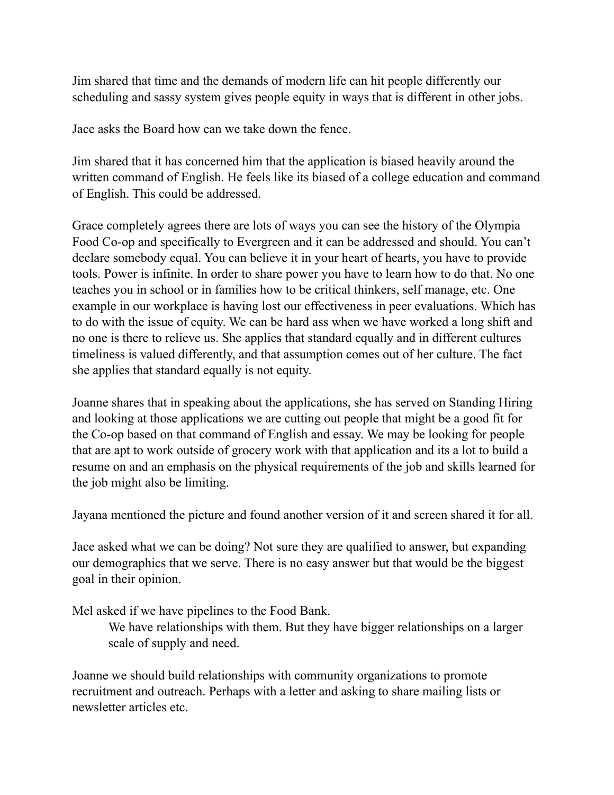Jim shared that time and the demands of modern life can hit people differently our scheduling and sassy system gives people equity in ways that is different in other jobs.

Jace asks the Board how can we take down the fence.

Jim shared that it has concerned him that the application is biased heavily around the written command of English. He feels like its biased of a college education and command of English. This could be addressed.

Grace completely agrees there are lots of ways you can see the history of the Olympia Food Co-op and specifically to Evergreen and it can be addressed and should. You can't declare somebody equal. You can believe it in your heart of hearts, you have to provide tools. Power is infinite. In order to share power you have to learn how to do that. No one teaches you in school or in families how to be critical thinkers, self manage, etc. One example in our workplace is having lost our effectiveness in peer evaluations. Which has to do with the issue of equity. We can be hard ass when we have worked a long shift and no one is there to relieve us. She applies that standard equally and in different cultures timeliness is valued differently, and that assumption comes out of her culture. The fact she applies that standard equally is not equity.

Joanne shares that in speaking about the applications, she has served on Standing Hiring and looking at those applications we are cutting out people that might be a good fit for the Co-op based on that command of English and essay. We may be looking for people that are apt to work outside of grocery work with that application and its a lot to build a resume on and an emphasis on the physical requirements of the job and skills learned for the job might also be limiting.

Jayana mentioned the picture and found another version of it and screen shared it for all.

Jace asked what we can be doing? Not sure they are qualified to answer, but expanding our demographics that we serve. There is no easy answer but that would be the biggest goal in their opinion.

Mel asked if we have pipelines to the Food Bank.

 We have relationships with them. But they have bigger relationships on a larger scale of supply and need.

Joanne we should build relationships with community organizations to promote recruitment and outreach. Perhaps with a letter and asking to share mailing lists or newsletter articles etc.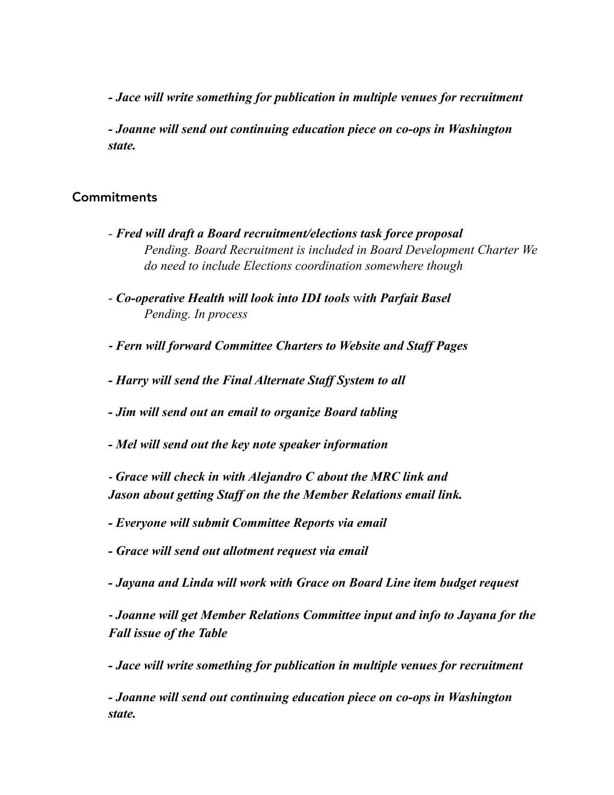*- Jace will write something for publication in multiple venues for recruitment* 

 *- Joanne will send out continuing education piece on co-ops in Washington state.* 

#### **Commitments**

- *Fred will draft a Board recruitment/elections task force proposal Pending. Board Recruitment is included in Board Development Charter We do need to include Elections coordination somewhere though*
- *Co-operative Health will look into IDI tools* w*ith Parfait Basel Pending. In process*
- *- Fern will forward Committee Charters to Website and Staff Pages*
- *Harry will send the Final Alternate Staff System to all*
- *Jim will send out an email to organize Board tabling*
- *Mel will send out the key note speaker information*
- *- Grace will check in with Alejandro C about the MRC link and Jason about getting Staff on the the Member Relations email link.*
- *Everyone will submit Committee Reports via email*
- *Grace will send out allotment request via email*
- *Jayana and Linda will work with Grace on Board Line item budget request*

*- Joanne will get Member Relations Committee input and info to Jayana for the Fall issue of the Table* 

*- Jace will write something for publication in multiple venues for recruitment* 

 *- Joanne will send out continuing education piece on co-ops in Washington state.*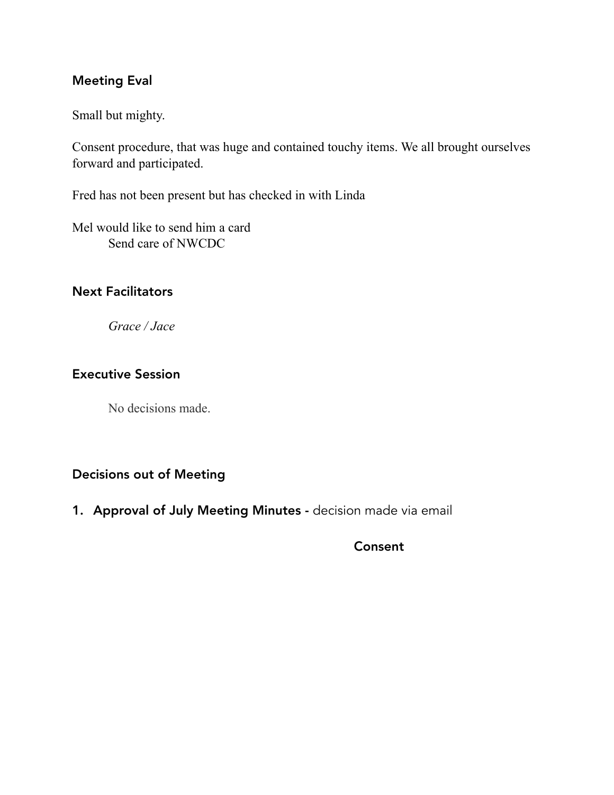### Meeting Eval

Small but mighty.

Consent procedure, that was huge and contained touchy items. We all brought ourselves forward and participated.

Fred has not been present but has checked in with Linda

Mel would like to send him a card Send care of NWCDC

### Next Facilitators

 *Grace / Jace* 

### Executive Session

No decisions made.

### Decisions out of Meeting

1. Approval of July Meeting Minutes - decision made via email

Consent